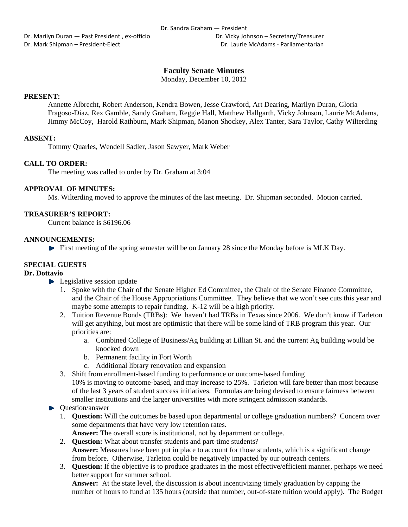Dr. Marilyn Duran — Past President, ex-officio **Britannia Company** Dr. Vicky Johnson – Secretary/Treasurer Dr. Mark Shipman – President‐Elect Dr. Laurie McAdams ‐ Parliamentarian

# **Faculty Senate Minutes**

Monday, December 10, 2012

# **PRESENT:**

Annette Albrecht, Robert Anderson, Kendra Bowen, Jesse Crawford, Art Dearing, Marilyn Duran, Gloria Fragoso-Diaz, Rex Gamble, Sandy Graham, Reggie Hall, Matthew Hallgarth, Vicky Johnson, Laurie McAdams, Jimmy McCoy, Harold Rathburn, Mark Shipman, Manon Shockey, Alex Tanter, Sara Taylor, Cathy Wilterding

## **ABSENT:**

Tommy Quarles, Wendell Sadler, Jason Sawyer, Mark Weber

# **CALL TO ORDER:**

The meeting was called to order by Dr. Graham at 3:04

# **APPROVAL OF MINUTES:**

Ms. Wilterding moved to approve the minutes of the last meeting. Dr. Shipman seconded. Motion carried.

## **TREASURER'S REPORT:**

Current balance is \$6196.06

## **ANNOUNCEMENTS:**

 $\blacktriangleright$  First meeting of the spring semester will be on January 28 since the Monday before is MLK Day.

# **SPECIAL GUESTS**

### **Dr. Dottavio**

- $\blacktriangleright$  Legislative session update
	- 1. Spoke with the Chair of the Senate Higher Ed Committee, the Chair of the Senate Finance Committee, and the Chair of the House Appropriations Committee. They believe that we won't see cuts this year and maybe some attempts to repair funding. K-12 will be a high priority.
	- 2. Tuition Revenue Bonds (TRBs): We haven't had TRBs in Texas since 2006. We don't know if Tarleton will get anything, but most are optimistic that there will be some kind of TRB program this year. Our priorities are:
		- a. Combined College of Business/Ag building at Lillian St. and the current Ag building would be knocked down
		- b. Permanent facility in Fort Worth
		- c. Additional library renovation and expansion
	- 3. Shift from enrollment-based funding to performance or outcome-based funding 10% is moving to outcome-based, and may increase to 25%. Tarleton will fare better than most because of the last 3 years of student success initiatives. Formulas are being devised to ensure fairness between smaller institutions and the larger universities with more stringent admission standards.

### $\blacktriangleright$  Ouestion/answer

1. **Question:** Will the outcomes be based upon departmental or college graduation numbers? Concern over some departments that have very low retention rates.

**Answer:** The overall score is institutional, not by department or college.

- 2. **Question:** What about transfer students and part-time students? **Answer:** Measures have been put in place to account for those students, which is a significant change from before. Otherwise, Tarleton could be negatively impacted by our outreach centers.
- 3. **Question:** If the objective is to produce graduates in the most effective/efficient manner, perhaps we need better support for summer school.

**Answer:** At the state level, the discussion is about incentivizing timely graduation by capping the number of hours to fund at 135 hours (outside that number, out-of-state tuition would apply). The Budget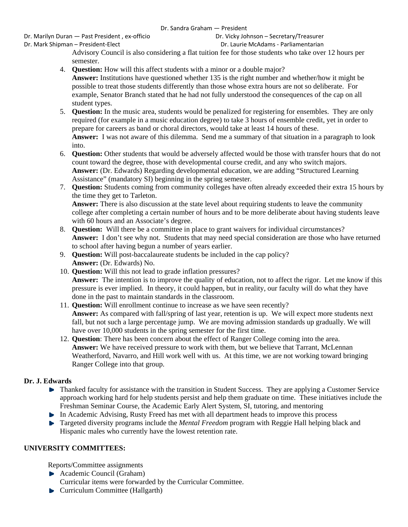Dr. Marilyn Duran — Past President, ex-officio **Britannia Company** Dr. Vicky Johnson – Secretary/Treasurer Dr. Mark Shipman – President‐Elect Dr. Laurie McAdams ‐ Parliamentarian

Advisory Council is also considering a flat tuition fee for those students who take over 12 hours per semester.

- 4. **Question:** How will this affect students with a minor or a double major? **Answer:** Institutions have questioned whether 135 is the right number and whether/how it might be possible to treat those students differently than those whose extra hours are not so deliberate. For example, Senator Branch stated that he had not fully understood the consequences of the cap on all student types.
- 5. **Question:** In the music area, students would be penalized for registering for ensembles. They are only required (for example in a music education degree) to take 3 hours of ensemble credit, yet in order to prepare for careers as band or choral directors, would take at least 14 hours of these. **Answer:** I was not aware of this dilemma. Send me a summary of that situation in a paragraph to look into.
- 6. **Question:** Other students that would be adversely affected would be those with transfer hours that do not count toward the degree, those with developmental course credit, and any who switch majors. **Answer:** (Dr. Edwards) Regarding developmental education, we are adding "Structured Learning Assistance" (mandatory SI) beginning in the spring semester.
- 7. **Question:** Students coming from community colleges have often already exceeded their extra 15 hours by the time they get to Tarleton. **Answer:** There is also discussion at the state level about requiring students to leave the community

college after completing a certain number of hours and to be more deliberate about having students leave with 60 hours and an Associate's degree.

- 8. **Question:** Will there be a committee in place to grant waivers for individual circumstances? **Answer:** I don't see why not. Students that may need special consideration are those who have returned to school after having begun a number of years earlier.
- 9. **Question:** Will post-baccalaureate students be included in the cap policy? **Answer:** (Dr. Edwards) No.
- 10. **Question:** Will this not lead to grade inflation pressures? **Answer:** The intention is to improve the quality of education, not to affect the rigor. Let me know if this pressure is ever implied. In theory, it could happen, but in reality, our faculty will do what they have done in the past to maintain standards in the classroom.
- 11. **Question:** Will enrollment continue to increase as we have seen recently? **Answer:** As compared with fall/spring of last year, retention is up. We will expect more students next fall, but not such a large percentage jump. We are moving admission standards up gradually. We will have over 10,000 students in the spring semester for the first time.
- 12. **Question**: There has been concern about the effect of Ranger College coming into the area. **Answer:** We have received pressure to work with them, but we believe that Tarrant, McLennan Weatherford, Navarro, and Hill work well with us. At this time, we are not working toward bringing Ranger College into that group.

# **Dr. J. Edwards**

- Thanked faculty for assistance with the transition in Student Success. They are applying a Customer Service approach working hard for help students persist and help them graduate on time. These initiatives include the Freshman Seminar Course, the Academic Early Alert System, SI, tutoring, and mentoring
- In Academic Advising, Rusty Freed has met with all department heads to improve this process
- **Targeted diversity programs include the** *Mental Freedom* **program with Reggie Hall helping black and** Hispanic males who currently have the lowest retention rate.

# **UNIVERSITY COMMITTEES:**

Reports/Committee assignments

- Academic Council (Graham)
- Curricular items were forwarded by the Curricular Committee.
- **Curriculum Committee (Hallgarth)**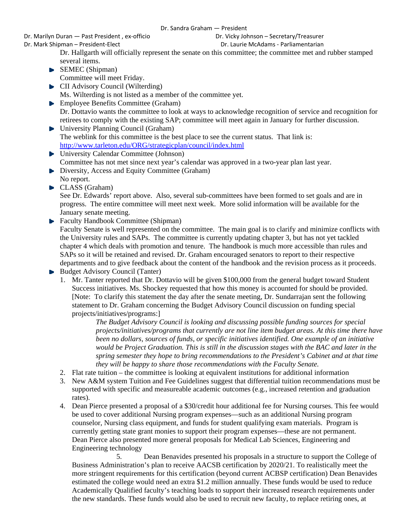Dr. Marilyn Duran — Past President , ex‐officio Dr. Vicky Johnson – Secretary/Treasurer

Dr. Mark Shipman – President‐Elect Dr. Laurie McAdams ‐ Parliamentarian

Dr. Hallgarth will officially represent the senate on this committee; the committee met and rubber stamped several items.

- SEMEC (Shipman) Committee will meet Friday.
- **CII** Advisory Council (Wilterding) Ms. Wilterding is not listed as a member of the committee yet.
- **Employee Benefits Committee (Graham)** Dr. Dottavio wants the committee to look at ways to acknowledge recognition of service and recognition for retirees to comply with the existing SAP; committee will meet again in January for further discussion.
- ▶ University Planning Council (Graham) The weblink for this committee is the best place to see the current status. That link is: http://www.tarleton.edu/ORG/strategicplan/council/index.html
- University Calendar Committee (Johnson) Committee has not met since next year's calendar was approved in a two-year plan last year.
- Diversity, Access and Equity Committee (Graham) No report.
- CLASS (Graham)

See Dr. Edwards' report above. Also, several sub-committees have been formed to set goals and are in progress. The entire committee will meet next week. More solid information will be available for the January senate meeting.

- Faculty Handbook Committee (Shipman) Faculty Senate is well represented on the committee. The main goal is to clarify and minimize conflicts with the University rules and SAPs. The committee is currently updating chapter 3, but has not yet tackled chapter 4 which deals with promotion and tenure. The handbook is much more accessible than rules and SAPs so it will be retained and revised. Dr. Graham encouraged senators to report to their respective departments and to give feedback about the content of the handbook and the revision process as it proceeds.
- $\blacktriangleright$  Budget Advisory Council (Tanter)
	- 1. Mr. Tanter reported that Dr. Dottavio will be given \$100,000 from the general budget toward Student Success initiatives. Ms. Shockey requested that how this money is accounted for should be provided. [Note: To clarify this statement the day after the senate meeting, Dr. Sundarrajan sent the following statement to Dr. Graham concerning the Budget Advisory Council discussion on funding special projects/initiatives/programs:]

*The Budget Advisory Council is looking and discussing possible funding sources for special projects/initiatives/programs that currently are not line item budget areas. At this time there have been no dollars, sources of funds, or specific initiatives identified. One example of an initiative would be Project Graduation. This is still in the discussion stages with the BAC and later in the spring semester they hope to bring recommendations to the President's Cabinet and at that time they will be happy to share those recommendations with the Faculty Senate.* 

- 2. Flat rate tuition the committee is looking at equivalent institutions for additional information
- 3. New A&M system Tuition and Fee Guidelines suggest that differential tuition recommendations must be supported with specific and measureable academic outcomes (e.g., increased retention and graduation rates).
- 4. Dean Pierce presented a proposal of a \$30/credit hour additional fee for Nursing courses. This fee would be used to cover additional Nursing program expenses—such as an additional Nursing program counselor, Nursing class equipment, and funds for student qualifying exam materials. Program is currently getting state grant monies to support their program expenses—these are not permanent. Dean Pierce also presented more general proposals for Medical Lab Sciences, Engineering and Engineering technology

5. Dean Benavides presented his proposals in a structure to support the College of Business Administration's plan to receive AACSB certification by 2020/21. To realistically meet the more stringent requirements for this certification (beyond current ACBSP certification) Dean Benavides estimated the college would need an extra \$1.2 million annually. These funds would be used to reduce Academically Qualified faculty's teaching loads to support their increased research requirements under the new standards. These funds would also be used to recruit new faculty, to replace retiring ones, at